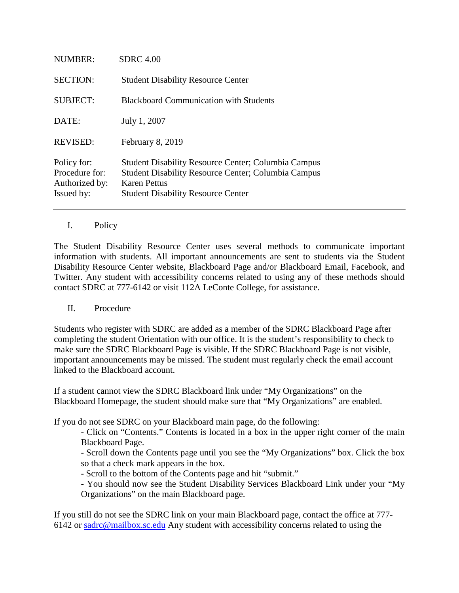| <b>NUMBER:</b>                                                | <b>SDRC</b> 4.00                                                                                                                                                                      |
|---------------------------------------------------------------|---------------------------------------------------------------------------------------------------------------------------------------------------------------------------------------|
| <b>SECTION:</b>                                               | <b>Student Disability Resource Center</b>                                                                                                                                             |
| <b>SUBJECT:</b>                                               | <b>Blackboard Communication with Students</b>                                                                                                                                         |
| DATE:                                                         | July 1, 2007                                                                                                                                                                          |
| <b>REVISED:</b>                                               | February 8, 2019                                                                                                                                                                      |
| Policy for:<br>Procedure for:<br>Authorized by:<br>Issued by: | <b>Student Disability Resource Center; Columbia Campus</b><br><b>Student Disability Resource Center; Columbia Campus</b><br>Karen Pettus<br><b>Student Disability Resource Center</b> |

## I. Policy

The Student Disability Resource Center uses several methods to communicate important information with students. All important announcements are sent to students via the Student Disability Resource Center website, Blackboard Page and/or Blackboard Email, Facebook, and Twitter. Any student with accessibility concerns related to using any of these methods should contact SDRC at 777-6142 or visit 112A LeConte College, for assistance.

## II. Procedure

Students who register with SDRC are added as a member of the SDRC Blackboard Page after completing the student Orientation with our office. It is the student's responsibility to check to make sure the SDRC Blackboard Page is visible. If the SDRC Blackboard Page is not visible, important announcements may be missed. The student must regularly check the email account linked to the Blackboard account.

If a student cannot view the SDRC Blackboard link under "My Organizations" on the Blackboard Homepage, the student should make sure that "My Organizations" are enabled.

If you do not see SDRC on your Blackboard main page, do the following:

- Click on "Contents." Contents is located in a box in the upper right corner of the main Blackboard Page.

- Scroll down the Contents page until you see the "My Organizations" box. Click the box so that a check mark appears in the box.

- Scroll to the bottom of the Contents page and hit "submit."

- You should now see the Student Disability Services Blackboard Link under your "My Organizations" on the main Blackboard page.

If you still do not see the SDRC link on your main Blackboard page, contact the office at 777- 6142 or [sadrc@mailbox.sc.edu](mailto:sadrc@mailbox.sc.edu) Any student with accessibility concerns related to using the